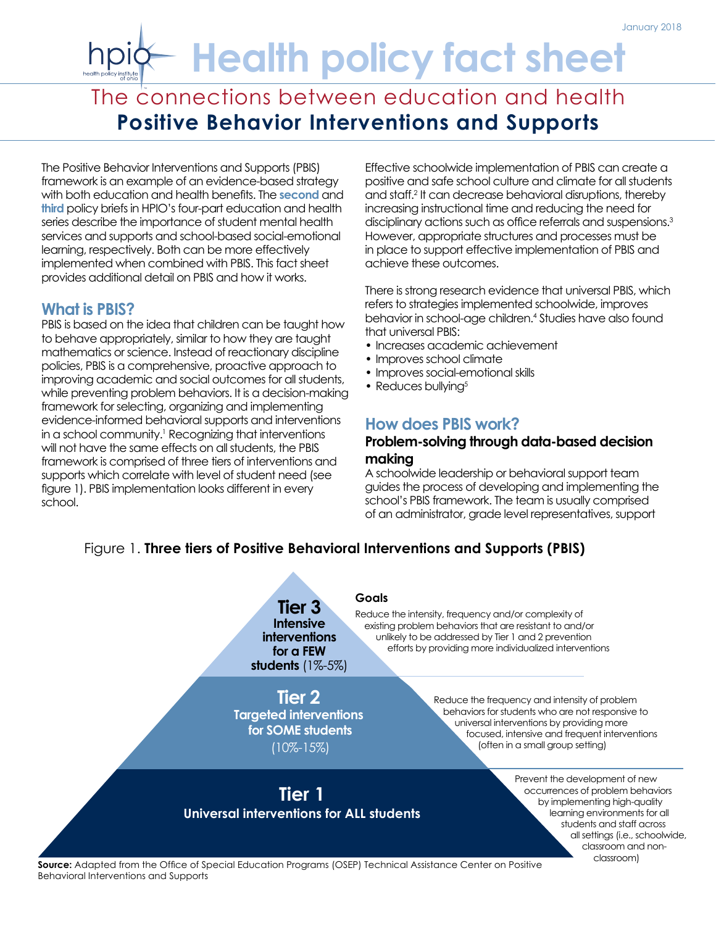# **Health policy fact sheet**

# The connections between education and health **Positive Behavior Interventions and Supports**

The Positive Behavior Interventions and Supports (PBIS) framework is an example of an evidence-based strategy with both education and health benefits. The **[second](http://www.healthpolicyohio.org/connections-between-education-and-health-no-2-health-services-in-schools/)** and **[third](http://www.healthpolicyohio.org/connections-between-education-and-health-no-3-the-importance-of-early-learning/)** policy briefs in HPIO's four-part education and health series describe the importance of student mental health services and supports and school-based social-emotional learning, respectively. Both can be more effectively implemented when combined with PBIS. This fact sheet provides additional detail on PBIS and how it works.

# **What is PBIS?**

PBIS is based on the idea that children can be taught how to behave appropriately, similar to how they are taught mathematics or science. Instead of reactionary discipline policies, PBIS is a comprehensive, proactive approach to improving academic and social outcomes for all students, while preventing problem behaviors. It is a decision-making framework for selecting, organizing and implementing evidence-informed behavioral supports and interventions in a school community.<sup>1</sup> Recognizing that interventions will not have the same effects on all students, the PBIS framework is comprised of three tiers of interventions and supports which correlate with level of student need (see figure 1). PBIS implementation looks different in every school.

Effective schoolwide implementation of PBIS can create a positive and safe school culture and climate for all students and staff.<sup>2</sup> It can decrease behavioral disruptions, thereby increasing instructional time and reducing the need for disciplinary actions such as office referrals and suspensions.<sup>3</sup> However, appropriate structures and processes must be in place to support effective implementation of PBIS and achieve these outcomes.

There is strong research evidence that universal PBIS, which refers to strategies implemented schoolwide, improves behavior in school-age children.<sup>4</sup> Studies have also found that universal PBIS:

- Increases academic achievement
- Improves school climate
- Improves social-emotional skills
- Reduces bullying<sup>5</sup>

# **How does PBIS work?**

#### **Problem-solving through data-based decision making**

A schoolwide leadership or behavioral support team guides the process of developing and implementing the school's PBIS framework. The team is usually comprised of an administrator, grade level representatives, support

# Figure 1. **Three tiers of Positive Behavioral Interventions and Supports (PBIS)**



**Source:** Adapted from the Office of Special Education Programs (OSEP) Technical Assistance Center on Positive Behavioral Interventions and Supports